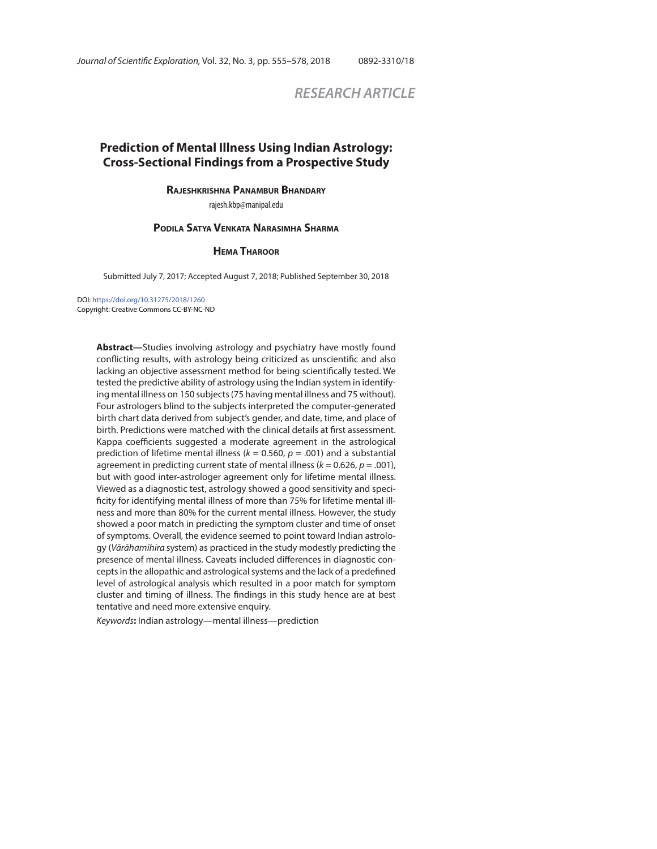Journal of Scientific Exploration, Vol. 32, No. 3, pp. 555–578, 2018 0892-3310/18

# *RESEARCH ARTICLE*

# **Prediction of Mental Illness Using Indian Astrology: Cross-Sectional Findings from a Prospective Study**

#### **RAJESHKRISHNA PANAMBUR BHANDARY**

rajesh.kbp@manipal.edu

#### **PODILA SATYA VENKATA NARASIMHA SHARMA**

#### **HEMA THAROOR**

Submitted July 7, 2017; Accepted August 7, 2018; Published September 30, 2018

DOI: https://doi.org/10.31275/2018/1260 Copyright: Creative Commons CC-BY-NC-ND

> **Abstract—**Studies involving astrology and psychiatry have mostly found conflicting results, with astrology being criticized as unscientific and also lacking an objective assessment method for being scientifically tested. We tested the predictive ability of astrology using the Indian system in identifying mental illness on 150 subjects (75 having mental illness and 75 without). Four astrologers blind to the subjects interpreted the computer-generated birth chart data derived from subject's gender, and date, time, and place of birth. Predictions were matched with the clinical details at first assessment. Kappa coefficients suggested a moderate agreement in the astrological prediction of lifetime mental illness ( $k = 0.560$ ,  $p = .001$ ) and a substantial agreement in predicting current state of mental illness ( $k = 0.626$ ,  $p = .001$ ), but with good inter-astrologer agreement only for lifetime mental illness. Viewed as a diagnostic test, astrology showed a good sensitivity and specificity for identifying mental illness of more than 75% for lifetime mental illness and more than 80% for the current mental illness. However, the study showed a poor match in predicting the symptom cluster and time of onset of symptoms. Overall, the evidence seemed to point toward Indian astrology (Vārāhamihira system) as practiced in the study modestly predicting the presence of mental illness. Caveats included differences in diagnostic concepts in the allopathic and astrological systems and the lack of a predefined level of astrological analysis which resulted in a poor match for symptom cluster and timing of illness. The findings in this study hence are at best tentative and need more extensive enquiry.

Keywords**:** Indian astrology—mental illness—prediction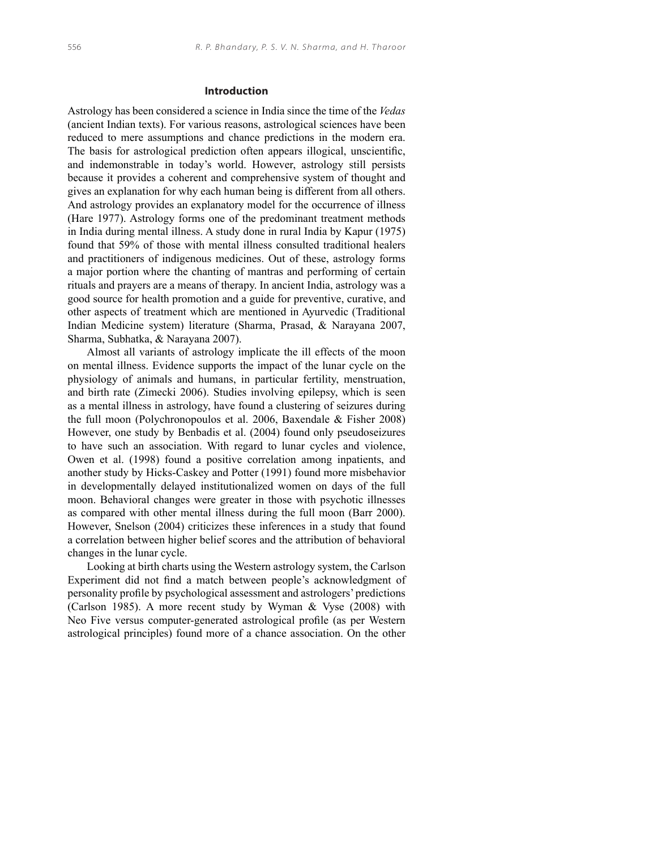## **Introduction**

Astrology has been considered a science in India since the time of the *Vedas* (ancient Indian texts). For various reasons, astrological sciences have been reduced to mere assumptions and chance predictions in the modern era. The basis for astrological prediction often appears illogical, unscientific, and indemonstrable in today's world. However, astrology still persists because it provides a coherent and comprehensive system of thought and gives an explanation for why each human being is different from all others. And astrology provides an explanatory model for the occurrence of illness (Hare 1977). Astrology forms one of the predominant treatment methods in India during mental illness. A study done in rural India by Kapur (1975) found that 59% of those with mental illness consulted traditional healers and practitioners of indigenous medicines. Out of these, astrology forms a major portion where the chanting of mantras and performing of certain rituals and prayers are a means of therapy. In ancient India, astrology was a good source for health promotion and a guide for preventive, curative, and other aspects of treatment which are mentioned in Ayurvedic (Traditional Indian Medicine system) literature (Sharma, Prasad, & Narayana 2007, Sharma, Subhatka, & Narayana 2007).

Almost all variants of astrology implicate the ill effects of the moon on mental illness. Evidence supports the impact of the lunar cycle on the physiology of animals and humans, in particular fertility, menstruation, and birth rate (Zimecki 2006). Studies involving epilepsy, which is seen as a mental illness in astrology, have found a clustering of seizures during the full moon (Polychronopoulos et al. 2006, Baxendale & Fisher 2008) However, one study by Benbadis et al. (2004) found only pseudoseizures to have such an association. With regard to lunar cycles and violence, Owen et al. (1998) found a positive correlation among inpatients, and another study by Hicks-Caskey and Potter (1991) found more misbehavior in developmentally delayed institutionalized women on days of the full moon. Behavioral changes were greater in those with psychotic illnesses as compared with other mental illness during the full moon (Barr 2000). However, Snelson (2004) criticizes these inferences in a study that found a correlation between higher belief scores and the attribution of behavioral changes in the lunar cycle.

Looking at birth charts using the Western astrology system, the Carlson Experiment did not find a match between people's acknowledgment of personality profile by psychological assessment and astrologers' predictions (Carlson 1985). A more recent study by Wyman & Vyse (2008) with Neo Five versus computer-generated astrological profile (as per Western astrological principles) found more of a chance association. On the other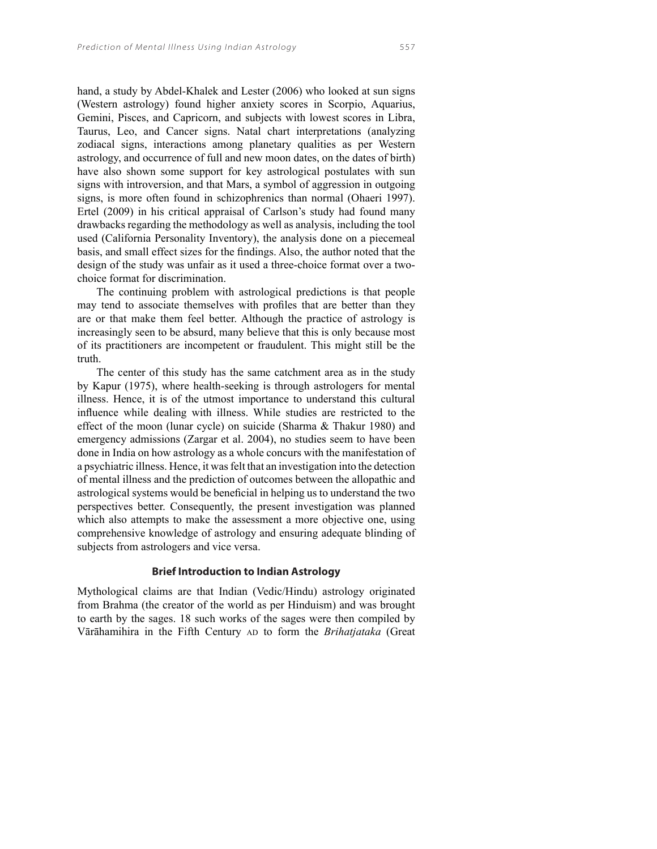hand, a study by Abdel-Khalek and Lester (2006) who looked at sun signs (Western astrology) found higher anxiety scores in Scorpio, Aquarius, Gemini, Pisces, and Capricorn, and subjects with lowest scores in Libra, Taurus, Leo, and Cancer signs. Natal chart interpretations (analyzing zodiacal signs, interactions among planetary qualities as per Western astrology, and occurrence of full and new moon dates, on the dates of birth) have also shown some support for key astrological postulates with sun signs with introversion, and that Mars, a symbol of aggression in outgoing signs, is more often found in schizophrenics than normal (Ohaeri 1997). Ertel (2009) in his critical appraisal of Carlson's study had found many drawbacks regarding the methodology as well as analysis, including the tool used (California Personality Inventory), the analysis done on a piecemeal basis, and small effect sizes for the findings. Also, the author noted that the design of the study was unfair as it used a three-choice format over a twochoice format for discrimination.

The continuing problem with astrological predictions is that people may tend to associate themselves with profiles that are better than they are or that make them feel better. Although the practice of astrology is increasingly seen to be absurd, many believe that this is only because most of its practitioners are incompetent or fraudulent. This might still be the truth.

The center of this study has the same catchment area as in the study by Kapur (1975), where health-seeking is through astrologers for mental illness. Hence, it is of the utmost importance to understand this cultural influence while dealing with illness. While studies are restricted to the effect of the moon (lunar cycle) on suicide (Sharma & Thakur 1980) and emergency admissions (Zargar et al. 2004), no studies seem to have been done in India on how astrology as a whole concurs with the manifestation of a psychiatric illness. Hence, it was felt that an investigation into the detection of mental illness and the prediction of outcomes between the allopathic and astrological systems would be beneficial in helping us to understand the two perspectives better. Consequently, the present investigation was planned which also attempts to make the assessment a more objective one, using comprehensive knowledge of astrology and ensuring adequate blinding of subjects from astrologers and vice versa.

#### **Brief Introduction to Indian Astrology**

Mythological claims are that Indian (Vedic/Hindu) astrology originated from Brahma (the creator of the world as per Hinduism) and was brought to earth by the sages. 18 such works of the sages were then compiled by Vārāhamihira in the Fifth Century AD to form the *Brihatjataka* (Great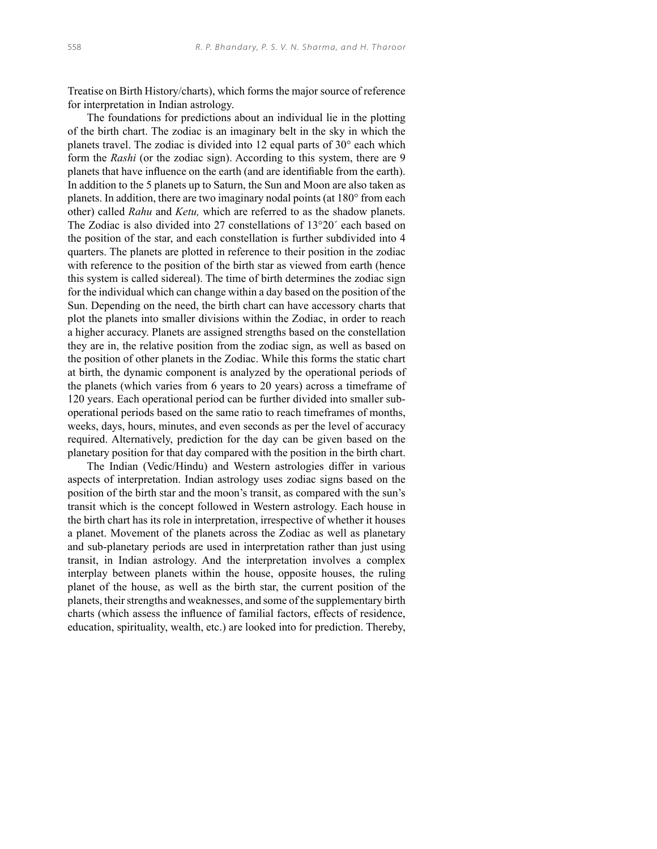Treatise on Birth History/charts), which forms the major source of reference for interpretation in Indian astrology.

The foundations for predictions about an individual lie in the plotting of the birth chart. The zodiac is an imaginary belt in the sky in which the planets travel. The zodiac is divided into 12 equal parts of 30° each which form the *Rashi* (or the zodiac sign). According to this system, there are 9 planets that have influence on the earth (and are identifiable from the earth). In addition to the 5 planets up to Saturn, the Sun and Moon are also taken as planets. In addition, there are two imaginary nodal points (at 180° from each other) called *Rahu* and *Ketu,* which are referred to as the shadow planets. The Zodiac is also divided into 27 constellations of 13°20´ each based on the position of the star, and each constellation is further subdivided into 4 quarters. The planets are plotted in reference to their position in the zodiac with reference to the position of the birth star as viewed from earth (hence this system is called sidereal). The time of birth determines the zodiac sign for the individual which can change within a day based on the position of the Sun. Depending on the need, the birth chart can have accessory charts that plot the planets into smaller divisions within the Zodiac, in order to reach a higher accuracy. Planets are assigned strengths based on the constellation they are in, the relative position from the zodiac sign, as well as based on the position of other planets in the Zodiac. While this forms the static chart at birth, the dynamic component is analyzed by the operational periods of the planets (which varies from 6 years to 20 years) across a timeframe of 120 years. Each operational period can be further divided into smaller suboperational periods based on the same ratio to reach timeframes of months, weeks, days, hours, minutes, and even seconds as per the level of accuracy required. Alternatively, prediction for the day can be given based on the planetary position for that day compared with the position in the birth chart.

The Indian (Vedic/Hindu) and Western astrologies differ in various aspects of interpretation. Indian astrology uses zodiac signs based on the position of the birth star and the moon's transit, as compared with the sun's transit which is the concept followed in Western astrology. Each house in the birth chart has its role in interpretation, irrespective of whether it houses a planet. Movement of the planets across the Zodiac as well as planetary and sub-planetary periods are used in interpretation rather than just using transit, in Indian astrology. And the interpretation involves a complex interplay between planets within the house, opposite houses, the ruling planet of the house, as well as the birth star, the current position of the planets, their strengths and weaknesses, and some of the supplementary birth charts (which assess the influence of familial factors, effects of residence, education, spirituality, wealth, etc.) are looked into for prediction. Thereby,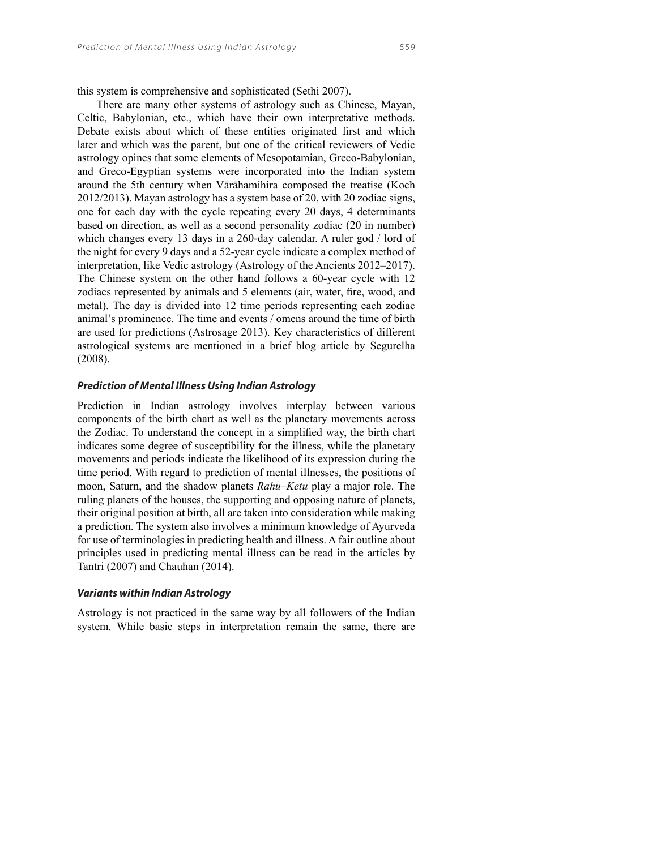this system is comprehensive and sophisticated (Sethi 2007).

There are many other systems of astrology such as Chinese, Mayan, Celtic, Babylonian, etc., which have their own interpretative methods. Debate exists about which of these entities originated first and which later and which was the parent, but one of the critical reviewers of Vedic astrology opines that some elements of Mesopotamian, Greco-Babylonian, and Greco-Egyptian systems were incorporated into the Indian system around the 5th century when Vārāhamihira composed the treatise (Koch 2012/2013). Mayan astrology has a system base of 20, with 20 zodiac signs, one for each day with the cycle repeating every 20 days, 4 determinants based on direction, as well as a second personality zodiac (20 in number) which changes every 13 days in a 260-day calendar. A ruler god / lord of the night for every 9 days and a 52-year cycle indicate a complex method of interpretation, like Vedic astrology (Astrology of the Ancients 2012–2017). The Chinese system on the other hand follows a 60-year cycle with 12 zodiacs represented by animals and 5 elements (air, water, fire, wood, and metal). The day is divided into 12 time periods representing each zodiac animal's prominence. The time and events / omens around the time of birth are used for predictions (Astrosage 2013). Key characteristics of different astrological systems are mentioned in a brief blog article by Segurelha (2008).

## *Prediction of Mental Illness Using Indian Astrology*

Prediction in Indian astrology involves interplay between various components of the birth chart as well as the planetary movements across the Zodiac. To understand the concept in a simplified way, the birth chart indicates some degree of susceptibility for the illness, while the planetary movements and periods indicate the likelihood of its expression during the time period. With regard to prediction of mental illnesses, the positions of moon, Saturn, and the shadow planets *Rahu*–*Ketu* play a major role. The ruling planets of the houses, the supporting and opposing nature of planets, their original position at birth, all are taken into consideration while making a prediction. The system also involves a minimum knowledge of Ayurveda for use of terminologies in predicting health and illness. A fair outline about principles used in predicting mental illness can be read in the articles by Tantri (2007) and Chauhan (2014).

#### *Variants within Indian Astrology*

Astrology is not practiced in the same way by all followers of the Indian system. While basic steps in interpretation remain the same, there are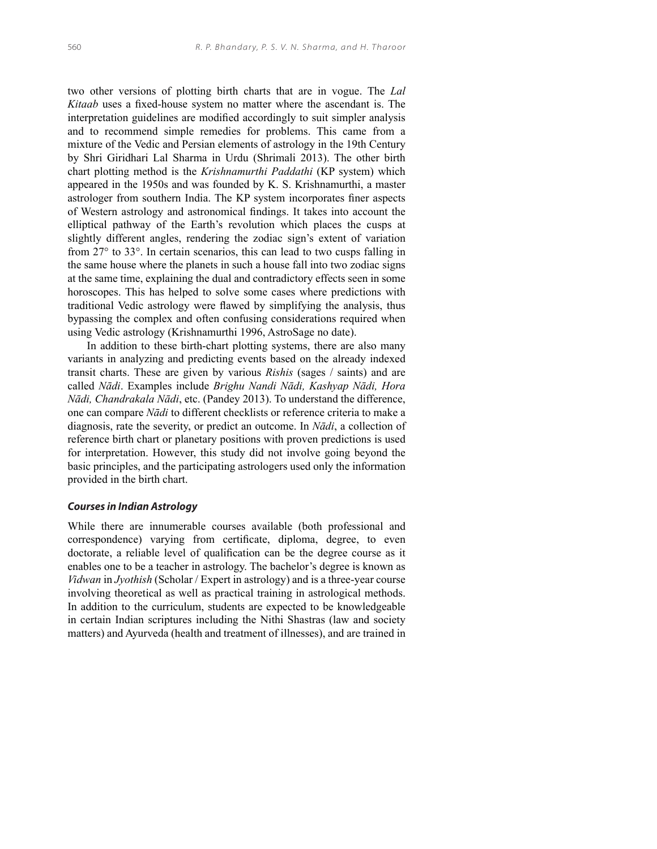two other versions of plotting birth charts that are in vogue. The *Lal Kitaab* uses a fixed-house system no matter where the ascendant is. The interpretation guidelines are modified accordingly to suit simpler analysis and to recommend simple remedies for problems. This came from a mixture of the Vedic and Persian elements of astrology in the 19th Century by Shri Giridhari Lal Sharma in Urdu (Shrimali 2013). The other birth chart plotting method is the *Krishnamurthi Paddathi* (KP system) which appeared in the 1950s and was founded by K. S. Krishnamurthi, a master astrologer from southern India. The KP system incorporates finer aspects of Western astrology and astronomical findings. It takes into account the elliptical pathway of the Earth's revolution which places the cusps at slightly different angles, rendering the zodiac sign's extent of variation from 27° to 33°. In certain scenarios, this can lead to two cusps falling in the same house where the planets in such a house fall into two zodiac signs at the same time, explaining the dual and contradictory effects seen in some horoscopes. This has helped to solve some cases where predictions with traditional Vedic astrology were flawed by simplifying the analysis, thus bypassing the complex and often confusing considerations required when using Vedic astrology (Krishnamurthi 1996, AstroSage no date).

In addition to these birth-chart plotting systems, there are also many variants in analyzing and predicting events based on the already indexed transit charts. These are given by various *Rishis* (sages / saints) and are called *Nādi*. Examples include *Brighu Nandi Nādi, Kashyap Nādi, Hora Nādi, Chandrakala Nādi*, etc. (Pandey 2013). To understand the difference, one can compare *Nādi* to different checklists or reference criteria to make a diagnosis, rate the severity, or predict an outcome. In *Nādi*, a collection of reference birth chart or planetary positions with proven predictions is used for interpretation. However, this study did not involve going beyond the basic principles, and the participating astrologers used only the information provided in the birth chart.

## *Courses in Indian Astrology*

While there are innumerable courses available (both professional and correspondence) varying from certificate, diploma, degree, to even doctorate, a reliable level of qualification can be the degree course as it enables one to be a teacher in astrology. The bachelor's degree is known as *Vidwan* in *Jyothish* (Scholar / Expert in astrology) and is a three-year course involving theoretical as well as practical training in astrological methods. In addition to the curriculum, students are expected to be knowledgeable in certain Indian scriptures including the Nithi Shastras (law and society matters) and Ayurveda (health and treatment of illnesses), and are trained in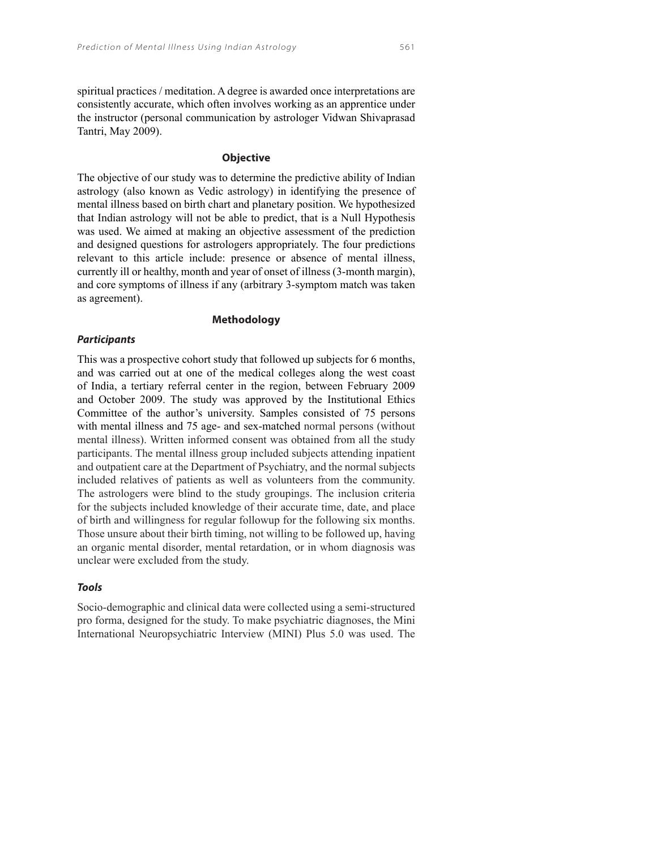spiritual practices / meditation. A degree is awarded once interpretations are consistently accurate, which often involves working as an apprentice under the instructor (personal communication by astrologer Vidwan Shivaprasad Tantri, May 2009).

## **Objective**

The objective of our study was to determine the predictive ability of Indian astrology (also known as Vedic astrology) in identifying the presence of mental illness based on birth chart and planetary position. We hypothesized that Indian astrology will not be able to predict, that is a Null Hypothesis was used. We aimed at making an objective assessment of the prediction and designed questions for astrologers appropriately. The four predictions relevant to this article include: presence or absence of mental illness, currently ill or healthy, month and year of onset of illness (3-month margin), and core symptoms of illness if any (arbitrary 3-symptom match was taken as agreement).

## **Methodology**

#### *Participants*

This was a prospective cohort study that followed up subjects for 6 months, and was carried out at one of the medical colleges along the west coast of India, a tertiary referral center in the region, between February 2009 and October 2009. The study was approved by the Institutional Ethics Committee of the author's university. Samples consisted of 75 persons with mental illness and 75 age- and sex-matched normal persons (without mental illness). Written informed consent was obtained from all the study participants. The mental illness group included subjects attending inpatient and outpatient care at the Department of Psychiatry, and the normal subjects included relatives of patients as well as volunteers from the community. The astrologers were blind to the study groupings. The inclusion criteria for the subjects included knowledge of their accurate time, date, and place of birth and willingness for regular followup for the following six months. Those unsure about their birth timing, not willing to be followed up, having an organic mental disorder, mental retardation, or in whom diagnosis was unclear were excluded from the study.

## *Tools*

Socio-demographic and clinical data were collected using a semi-structured pro forma, designed for the study. To make psychiatric diagnoses, the Mini International Neuropsychiatric Interview (MINI) Plus 5.0 was used. The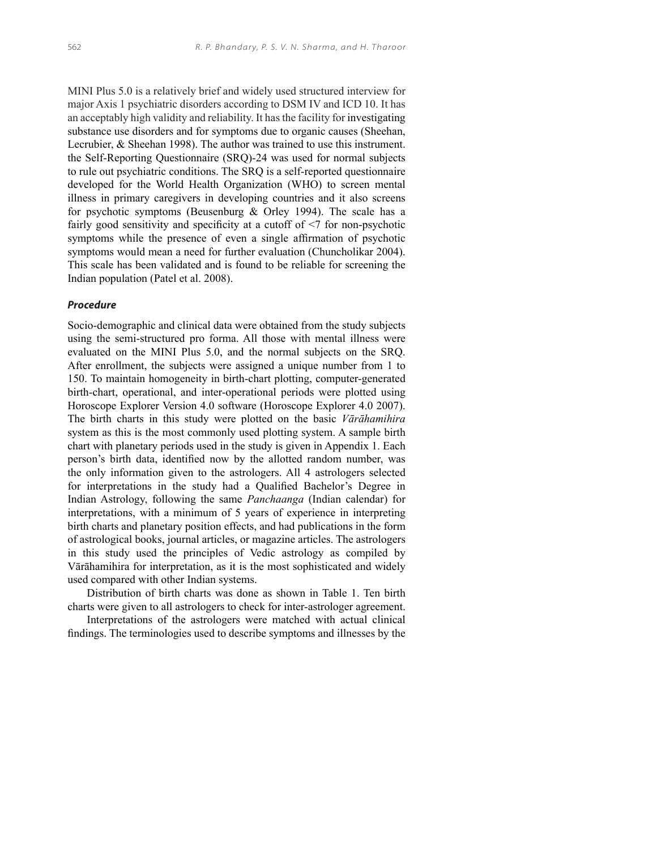MINI Plus 5.0 is a relatively brief and widely used structured interview for major Axis 1 psychiatric disorders according to DSM IV and ICD 10. It has an acceptably high validity and reliability. It has the facility for investigating substance use disorders and for symptoms due to organic causes (Sheehan, Lecrubier, & Sheehan 1998). The author was trained to use this instrument. the Self-Reporting Questionnaire (SRQ)-24 was used for normal subjects to rule out psychiatric conditions. The SRQ is a self-reported questionnaire developed for the World Health Organization (WHO) to screen mental illness in primary caregivers in developing countries and it also screens for psychotic symptoms (Beusenburg & Orley 1994). The scale has a fairly good sensitivity and specificity at a cutoff of  $\leq$  7 for non-psychotic symptoms while the presence of even a single affirmation of psychotic symptoms would mean a need for further evaluation (Chuncholikar 2004). This scale has been validated and is found to be reliable for screening the Indian population (Patel et al. 2008).

## *Procedure*

Socio-demographic and clinical data were obtained from the study subjects using the semi-structured pro forma. All those with mental illness were evaluated on the MINI Plus 5.0, and the normal subjects on the SRQ. After enrollment, the subjects were assigned a unique number from 1 to 150. To maintain homogeneity in birth-chart plotting, computer-generated birth-chart, operational, and inter-operational periods were plotted using Horoscope Explorer Version 4.0 software (Horoscope Explorer 4.0 2007). The birth charts in this study were plotted on the basic *Vārāhamihira* system as this is the most commonly used plotting system. A sample birth chart with planetary periods used in the study is given in Appendix 1. Each person's birth data, identified now by the allotted random number, was the only information given to the astrologers. All 4 astrologers selected for interpretations in the study had a Qualified Bachelor's Degree in Indian Astrology, following the same *Panchaanga* (Indian calendar) for interpretations, with a minimum of 5 years of experience in interpreting birth charts and planetary position effects, and had publications in the form of astrological books, journal articles, or magazine articles. The astrologers in this study used the principles of Vedic astrology as compiled by Vārāhamihira for interpretation, as it is the most sophisticated and widely used compared with other Indian systems.

Distribution of birth charts was done as shown in Table 1. Ten birth charts were given to all astrologers to check for inter-astrologer agreement.

Interpretations of the astrologers were matched with actual clinical findings. The terminologies used to describe symptoms and illnesses by the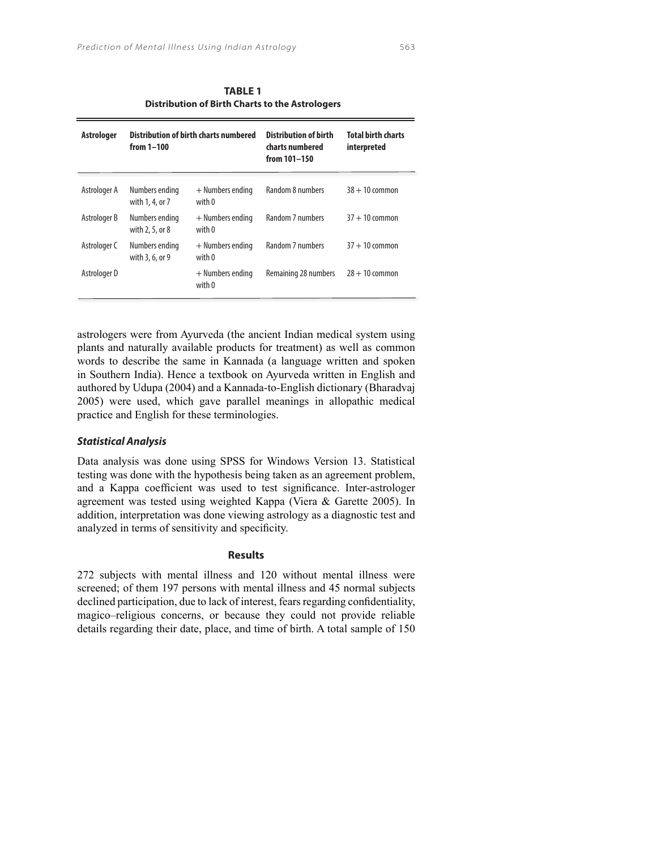|                   | Distribution of Birth Charts to the Astrologers            |                              |                                                                 |                                          |  |  |  |  |
|-------------------|------------------------------------------------------------|------------------------------|-----------------------------------------------------------------|------------------------------------------|--|--|--|--|
| <b>Astrologer</b> | <b>Distribution of birth charts numbered</b><br>from 1-100 |                              | <b>Distribution of birth</b><br>charts numbered<br>from 101-150 | <b>Total birth charts</b><br>interpreted |  |  |  |  |
| Astrologer A      | Numbers ending<br>with 1, 4, or 7                          | $+$ Numbers ending<br>with 0 | Random 8 numbers                                                | $38 + 10$ common                         |  |  |  |  |
| Astrologer B      | Numbers ending<br>with 2, 5, or 8                          | $+$ Numbers ending<br>with 0 | Random 7 numbers                                                | $37 + 10$ common                         |  |  |  |  |
| Astrologer C      | Numbers ending<br>with 3, 6, or 9                          | $+$ Numbers ending<br>with 0 | Random 7 numbers                                                | $37 + 10$ common                         |  |  |  |  |
| Astrologer D      |                                                            | $+$ Numbers ending<br>with 0 | Remaining 28 numbers                                            | $28 + 10$ common                         |  |  |  |  |

**TABLE 1 Distribution of Birth Charts to the Astrologers**

astrologers were from Ayurveda (the ancient Indian medical system using plants and naturally available products for treatment) as well as common words to describe the same in Kannada (a language written and spoken in Southern India). Hence a textbook on Ayurveda written in English and authored by Udupa (2004) and a Kannada-to-English dictionary (Bharadvaj 2005) were used, which gave parallel meanings in allopathic medical practice and English for these terminologies.

## *Statistical Analysis*

Data analysis was done using SPSS for Windows Version 13. Statistical testing was done with the hypothesis being taken as an agreement problem, and a Kappa coefficient was used to test significance. Inter-astrologer agreement was tested using weighted Kappa (Viera & Garette 2005). In addition, interpretation was done viewing astrology as a diagnostic test and analyzed in terms of sensitivity and specificity.

#### **Results**

272 subjects with mental illness and 120 without mental illness were screened; of them 197 persons with mental illness and 45 normal subjects declined participation, due to lack of interest, fears regarding confidentiality, magico–religious concerns, or because they could not provide reliable details regarding their date, place, and time of birth. A total sample of 150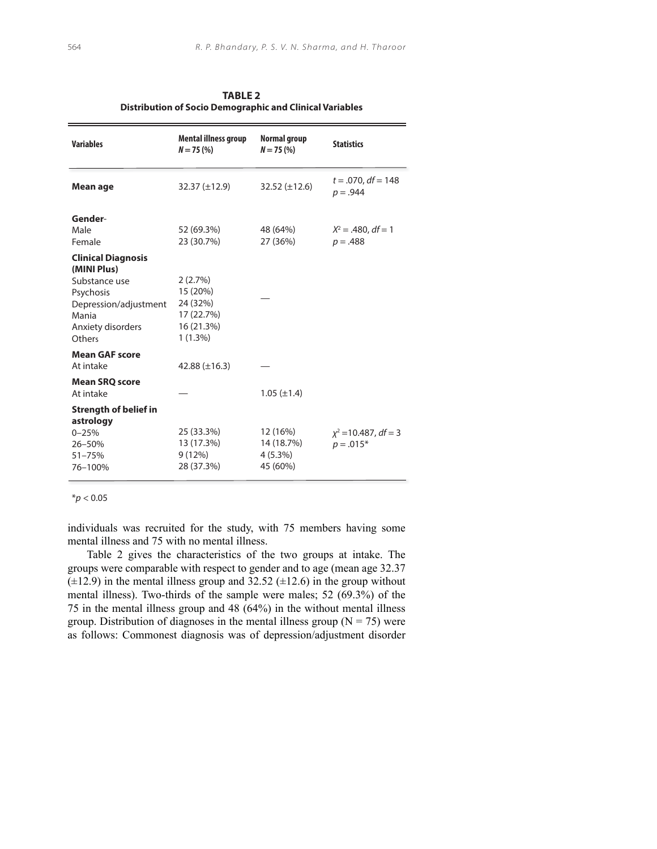| <b>Variables</b>                                                                                                                        | <b>Mental illness group</b><br>$N = 75(%)$                                | Normal group<br>$N = 75(%)$ | <b>Statistics</b>                   |  |
|-----------------------------------------------------------------------------------------------------------------------------------------|---------------------------------------------------------------------------|-----------------------------|-------------------------------------|--|
| Mean age                                                                                                                                | $32.37 (\pm 12.9)$                                                        | $32.52 (\pm 12.6)$          | $t = .070$ , df = 148<br>$p = .944$ |  |
| Gender-<br>Male                                                                                                                         | 52 (69.3%)                                                                | 48 (64%)                    | $X^2 = .480$ , df = 1               |  |
| Female                                                                                                                                  | 23 (30.7%)                                                                | 27 (36%)                    | $p = .488$                          |  |
| <b>Clinical Diagnosis</b><br>(MINI Plus)<br>Substance use<br>Psychosis<br>Depression/adjustment<br>Mania<br>Anxiety disorders<br>Others | 2(2.7%)<br>15 (20%)<br>24 (32%)<br>17 (22.7%)<br>16 (21.3%)<br>$1(1.3\%)$ |                             |                                     |  |
| <b>Mean GAF score</b><br>At intake                                                                                                      | 42.88 $(\pm 16.3)$                                                        |                             |                                     |  |
| <b>Mean SRQ score</b><br>At intake                                                                                                      |                                                                           | $1.05 (\pm 1.4)$            |                                     |  |
| <b>Strength of belief in</b><br>astrology                                                                                               |                                                                           |                             |                                     |  |
| $0 - 25%$                                                                                                                               | 25 (33.3%)                                                                | 12 (16%)                    | $x^2 = 10.487$ , df = 3             |  |
| 26-50%                                                                                                                                  | 13 (17.3%)<br>9(12%)                                                      | 14 (18.7%)<br>$4(5.3\%)$    | $p = .015*$                         |  |
| 51-75%<br>76-100%                                                                                                                       | 28 (37.3%)                                                                | 45 (60%)                    |                                     |  |

**TABLE 2 Distribution of Socio Demographic and Clinical Variables**

 $*$ *p* < 0.05

individuals was recruited for the study, with 75 members having some mental illness and 75 with no mental illness.

Table 2 gives the characteristics of the two groups at intake. The groups were comparable with respect to gender and to age (mean age 32.37  $(\pm 12.9)$  in the mental illness group and 32.52 ( $\pm 12.6$ ) in the group without mental illness). Two-thirds of the sample were males; 52 (69.3%) of the 75 in the mental illness group and 48 (64%) in the without mental illness group. Distribution of diagnoses in the mental illness group ( $N = 75$ ) were as follows: Commonest diagnosis was of depression/adjustment disorder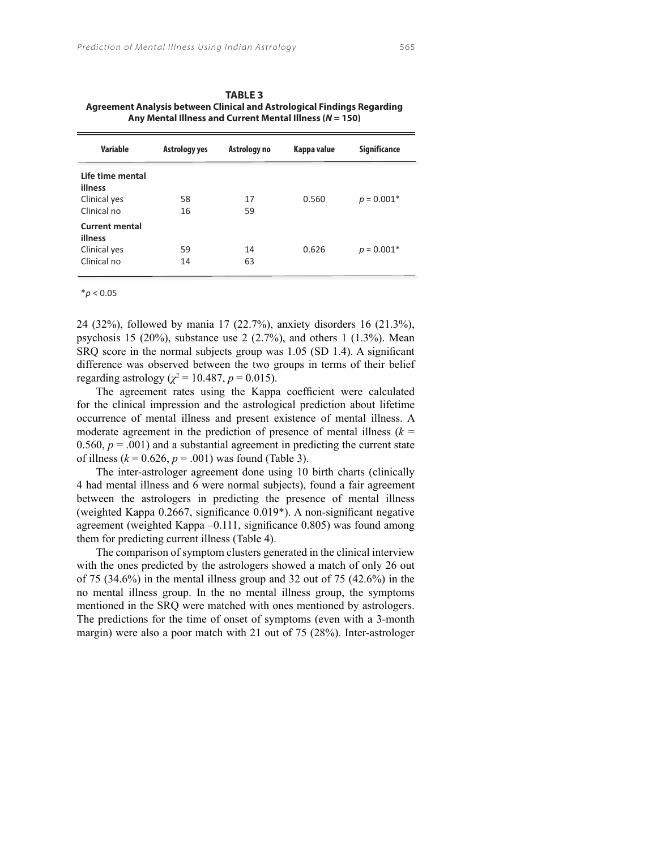| <b>Variable</b>                                                 | Astrology yes | Astrology no | Kappa value | <b>Significance</b> |
|-----------------------------------------------------------------|---------------|--------------|-------------|---------------------|
| Life time mental<br>illness<br>Clinical yes<br>Clinical no      | 58<br>16      | 17<br>59     | 0.560       | $p = 0.001*$        |
| <b>Current mental</b><br>illness<br>Clinical yes<br>Clinical no | 59<br>14      | 14<br>63     | 0.626       | $p = 0.001*$        |

**TABLE 3 Agreement Analysis between Clinical and Astrological Findings Regarding Any Mental Illness and Current Mental Illness (***N* **= 150)**

\**p* < 0.05

24 (32%), followed by mania 17 (22.7%), anxiety disorders 16 (21.3%), psychosis 15  $(20\%)$ , substance use 2  $(2.7\%)$ , and others 1  $(1.3\%)$ . Mean  $SRQ$  score in the normal subjects group was  $1.05$  (SD 1.4). A significant difference was observed between the two groups in terms of their belief regarding astrology ( $\chi^2$  = 10.487, *p* = 0.015).

The agreement rates using the Kappa coefficient were calculated for the clinical impression and the astrological prediction about lifetime occurrence of mental illness and present existence of mental illness. A moderate agreement in the prediction of presence of mental illness  $(k =$ 0.560,  $p = .001$ ) and a substantial agreement in predicting the current state of illness ( $k = 0.626$ ,  $p = .001$ ) was found (Table 3).

The inter-astrologer agreement done using 10 birth charts (clinically 4 had mental illness and 6 were normal subjects), found a fair agreement between the astrologers in predicting the presence of mental illness (weighted Kappa 0.2667, significance  $0.019$ <sup>\*</sup>). A non-significant negative agreement (weighted Kappa  $-0.111$ , significance  $0.805$ ) was found among them for predicting current illness (Table 4).

The comparison of symptom clusters generated in the clinical interview with the ones predicted by the astrologers showed a match of only 26 out of 75  $(34.6\%)$  in the mental illness group and 32 out of 75  $(42.6\%)$  in the no mental illness group. In the no mental illness group, the symptoms mentioned in the SRQ were matched with ones mentioned by astrologers. The predictions for the time of onset of symptoms (even with a 3-month margin) were also a poor match with 21 out of 75 (28%). Inter-astrologer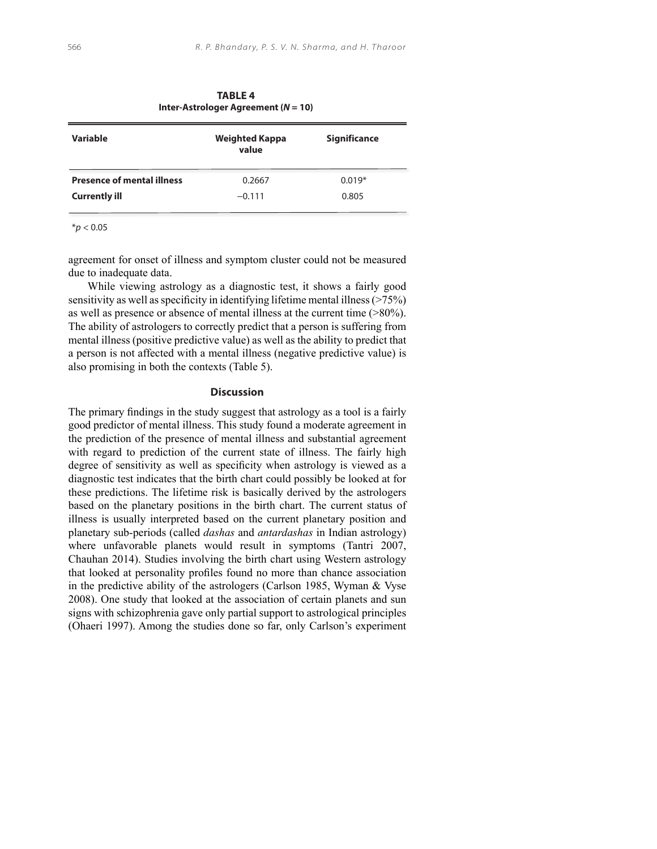| <b>Variable</b>                   | <b>Weighted Kappa</b><br>value | <b>Significance</b> |  |  |  |  |
|-----------------------------------|--------------------------------|---------------------|--|--|--|--|
| <b>Presence of mental illness</b> | 0.2667                         | $0.019*$            |  |  |  |  |
| <b>Currently ill</b>              | $-0.111$                       | 0.805               |  |  |  |  |

**TABLE 4 Inter-Astrologer Agreement (***N* **= 10)**

 $*$ *p* < 0.05

agreement for onset of illness and symptom cluster could not be measured due to inadequate data.

While viewing astrology as a diagnostic test, it shows a fairly good sensitivity as well as specificity in identifying lifetime mental illness  $($ >75%) as well as presence or absence of mental illness at the current time (>80%). The ability of astrologers to correctly predict that a person is suffering from mental illness (positive predictive value) as well as the ability to predict that a person is not affected with a mental illness (negative predictive value) is also promising in both the contexts (Table 5).

#### **Discussion**

The primary findings in the study suggest that astrology as a tool is a fairly good predictor of mental illness. This study found a moderate agreement in the prediction of the presence of mental illness and substantial agreement with regard to prediction of the current state of illness. The fairly high degree of sensitivity as well as specificity when astrology is viewed as a diagnostic test indicates that the birth chart could possibly be looked at for these predictions. The lifetime risk is basically derived by the astrologers based on the planetary positions in the birth chart. The current status of illness is usually interpreted based on the current planetary position and planetary sub-periods (called *dashas* and *antardashas* in Indian astrology) where unfavorable planets would result in symptoms (Tantri 2007, Chauhan 2014). Studies involving the birth chart using Western astrology that looked at personality profiles found no more than chance association in the predictive ability of the astrologers (Carlson 1985, Wyman & Vyse 2008). One study that looked at the association of certain planets and sun signs with schizophrenia gave only partial support to astrological principles (Ohaeri 1997). Among the studies done so far, only Carlson's experiment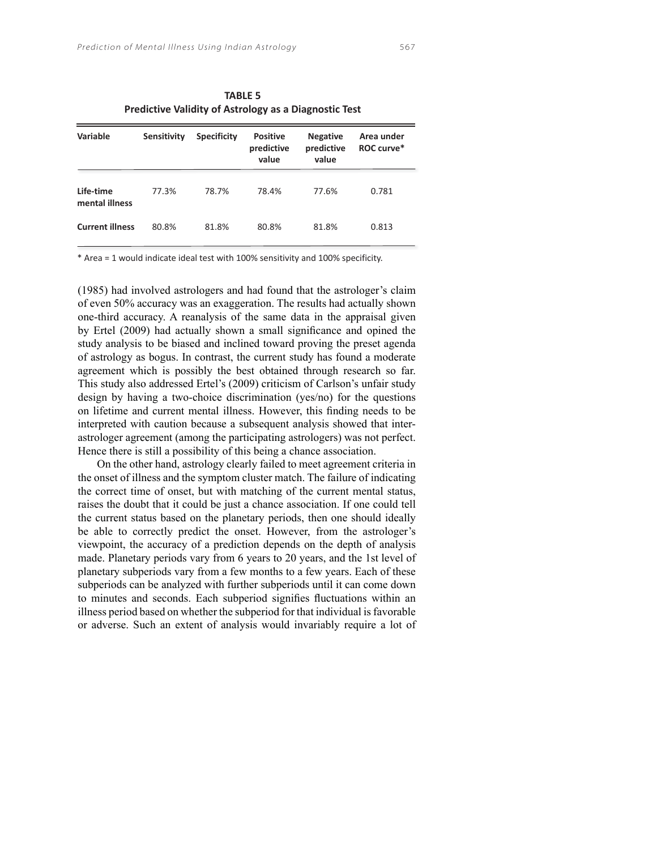| Predictive Validity of Astrology as a Diagnostic Test |             |                    |                                        |                                        |                          |  |  |
|-------------------------------------------------------|-------------|--------------------|----------------------------------------|----------------------------------------|--------------------------|--|--|
| Variable                                              | Sensitivity | <b>Specificity</b> | <b>Positive</b><br>predictive<br>value | <b>Negative</b><br>predictive<br>value | Area under<br>ROC curve* |  |  |
| Life-time<br>mental illness                           | 77.3%       | 78.7%              | 78.4%                                  | 77.6%                                  | 0.781                    |  |  |
| <b>Current illness</b>                                | 80.8%       | 81.8%              | 80.8%                                  | 81.8%                                  | 0.813                    |  |  |

**TABLE 5**

\* Area = 1 would indicate ideal test with 100% sensitivity and 100% specificity.

(1985) had involved astrologers and had found that the astrologer's claim of even 50% accuracy was an exaggeration. The results had actually shown one-third accuracy. A reanalysis of the same data in the appraisal given by Ertel (2009) had actually shown a small significance and opined the study analysis to be biased and inclined toward proving the preset agenda of astrology as bogus. In contrast, the current study has found a moderate agreement which is possibly the best obtained through research so far. This study also addressed Ertel's (2009) criticism of Carlson's unfair study design by having a two-choice discrimination (yes/no) for the questions on lifetime and current mental illness. However, this finding needs to be interpreted with caution because a subsequent analysis showed that interastrologer agreement (among the participating astrologers) was not perfect. Hence there is still a possibility of this being a chance association.

On the other hand, astrology clearly failed to meet agreement criteria in the onset of illness and the symptom cluster match. The failure of indicating the correct time of onset, but with matching of the current mental status, raises the doubt that it could be just a chance association. If one could tell the current status based on the planetary periods, then one should ideally be able to correctly predict the onset. However, from the astrologer's viewpoint, the accuracy of a prediction depends on the depth of analysis made. Planetary periods vary from 6 years to 20 years, and the 1st level of planetary subperiods vary from a few months to a few years. Each of these subperiods can be analyzed with further subperiods until it can come down to minutes and seconds. Each subperiod signifies fluctuations within an illness period based on whether the subperiod for that individual is favorable or adverse. Such an extent of analysis would invariably require a lot of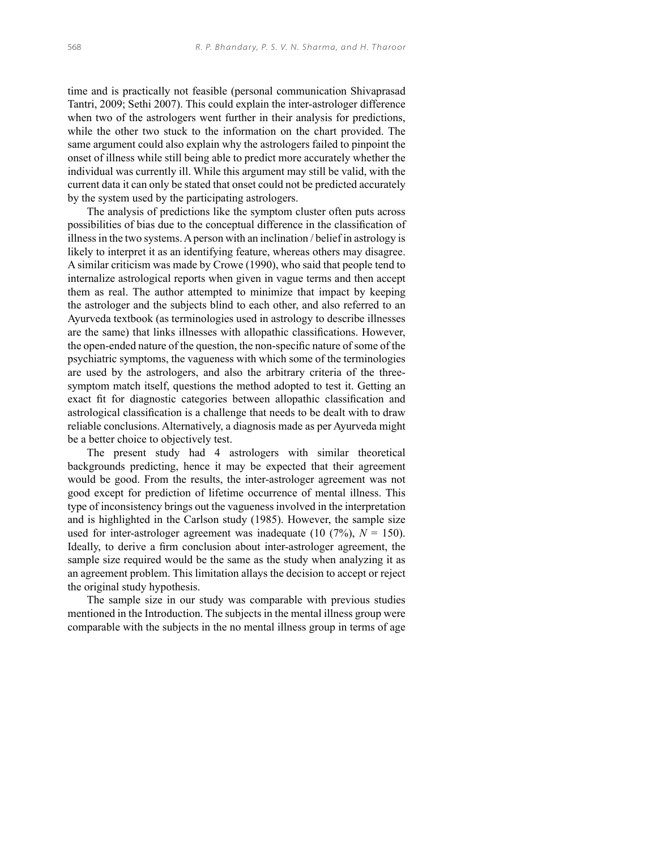time and is practically not feasible (personal communication Shivaprasad Tantri, 2009; Sethi 2007). This could explain the inter-astrologer difference when two of the astrologers went further in their analysis for predictions, while the other two stuck to the information on the chart provided. The same argument could also explain why the astrologers failed to pinpoint the onset of illness while still being able to predict more accurately whether the individual was currently ill. While this argument may still be valid, with the current data it can only be stated that onset could not be predicted accurately by the system used by the participating astrologers.

The analysis of predictions like the symptom cluster often puts across possibilities of bias due to the conceptual difference in the classification of illness in the two systems. A person with an inclination / belief in astrology is likely to interpret it as an identifying feature, whereas others may disagree. A similar criticism was made by Crowe (1990), who said that people tend to internalize astrological reports when given in vague terms and then accept them as real. The author attempted to minimize that impact by keeping the astrologer and the subjects blind to each other, and also referred to an Ayurveda textbook (as terminologies used in astrology to describe illnesses are the same) that links illnesses with allopathic classifications. However, the open-ended nature of the question, the non-specific nature of some of the psychiatric symptoms, the vagueness with which some of the terminologies are used by the astrologers, and also the arbitrary criteria of the threesymptom match itself, questions the method adopted to test it. Getting an exact fit for diagnostic categories between allopathic classification and astrological classification is a challenge that needs to be dealt with to draw reliable conclusions. Alternatively, a diagnosis made as per Ayurveda might be a better choice to objectively test.

The present study had 4 astrologers with similar theoretical backgrounds predicting, hence it may be expected that their agreement would be good. From the results, the inter-astrologer agreement was not good except for prediction of lifetime occurrence of mental illness. This type of inconsistency brings out the vagueness involved in the interpretation and is highlighted in the Carlson study (1985). However, the sample size used for inter-astrologer agreement was inadequate  $(10 (7\%)$ ,  $N = 150$ ). Ideally, to derive a firm conclusion about inter-astrologer agreement, the sample size required would be the same as the study when analyzing it as an agreement problem. This limitation allays the decision to accept or reject the original study hypothesis.

The sample size in our study was comparable with previous studies mentioned in the Introduction. The subjects in the mental illness group were comparable with the subjects in the no mental illness group in terms of age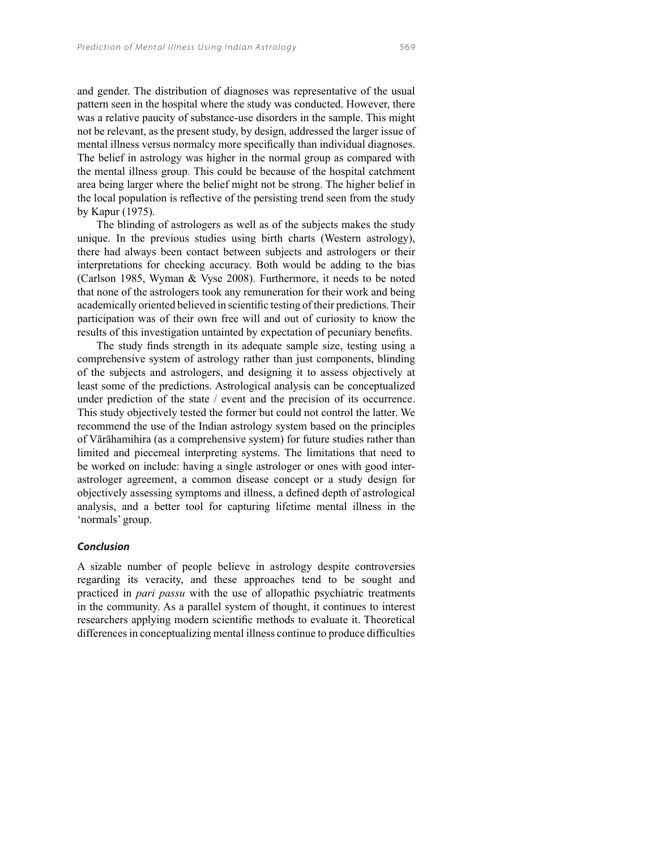and gender. The distribution of diagnoses was representative of the usual pattern seen in the hospital where the study was conducted. However, there was a relative paucity of substance-use disorders in the sample. This might not be relevant, as the present study, by design, addressed the larger issue of mental illness versus normalcy more specifically than individual diagnoses. The belief in astrology was higher in the normal group as compared with the mental illness group. This could be because of the hospital catchment area being larger where the belief might not be strong. The higher belief in the local population is reflective of the persisting trend seen from the study by Kapur (1975).

The blinding of astrologers as well as of the subjects makes the study unique. In the previous studies using birth charts (Western astrology), there had always been contact between subjects and astrologers or their interpretations for checking accuracy. Both would be adding to the bias (Carlson 1985, Wyman & Vyse 2008). Furthermore, it needs to be noted that none of the astrologers took any remuneration for their work and being academically oriented believed in scientific testing of their predictions. Their participation was of their own free will and out of curiosity to know the results of this investigation untainted by expectation of pecuniary benefits.

The study finds strength in its adequate sample size, testing using a comprehensive system of astrology rather than just components, blinding of the subjects and astrologers, and designing it to assess objectively at least some of the predictions. Astrological analysis can be conceptualized under prediction of the state / event and the precision of its occurrence. This study objectively tested the former but could not control the latter. We recommend the use of the Indian astrology system based on the principles of Vārāhamihira (as a comprehensive system) for future studies rather than limited and piecemeal interpreting systems. The limitations that need to be worked on include: having a single astrologer or ones with good interastrologer agreement, a common disease concept or a study design for objectively assessing symptoms and illness, a defined depth of astrological analysis, and a better tool for capturing lifetime mental illness in the 'normals' group.

#### *Conclusion*

A sizable number of people believe in astrology despite controversies regarding its veracity, and these approaches tend to be sought and practiced in *pari passu* with the use of allopathic psychiatric treatments in the community. As a parallel system of thought, it continues to interest researchers applying modern scientific methods to evaluate it. Theoretical differences in conceptualizing mental illness continue to produce difficulties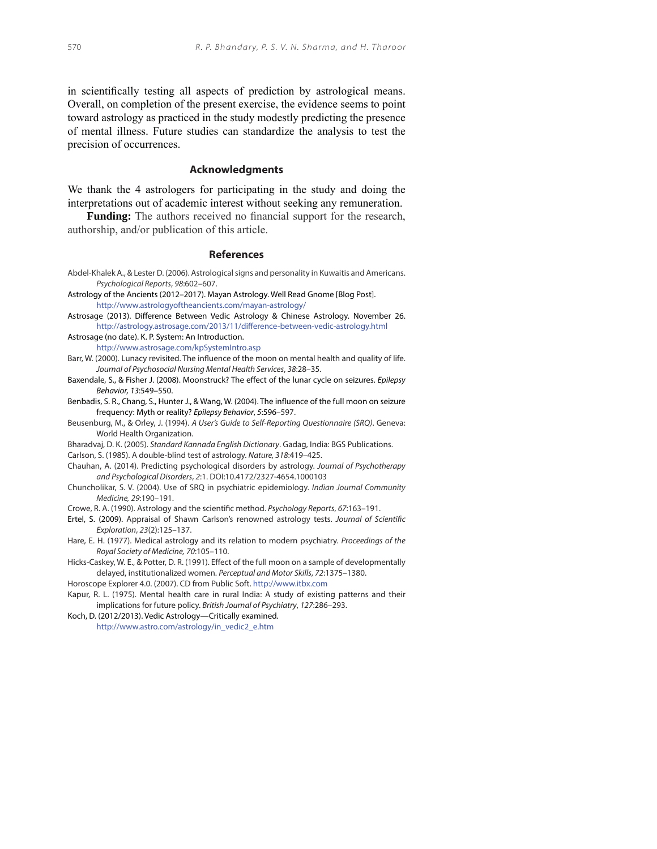in scientifically testing all aspects of prediction by astrological means. Overall, on completion of the present exercise, the evidence seems to point toward astrology as practiced in the study modestly predicting the presence of mental illness. Future studies can standardize the analysis to test the precision of occurrences.

#### **Acknowledgments**

We thank the 4 astrologers for participating in the study and doing the interpretations out of academic interest without seeking any remuneration.

**Funding:** The authors received no financial support for the research, authorship, and/or publication of this article.

#### **References**

- Abdel-Khalek A., & Lester D. (2006). Astrological signs and personality in Kuwaitis and Americans. Psychological Reports, 98:602–607.
- Astrology of the Ancients (2012–2017). Mayan Astrology. Well Read Gnome [Blog Post]. http://www.astrologyoftheancients.com/mayan-astrology/
- Astrosage (2013). Difference Between Vedic Astrology & Chinese Astrology. November 26. http://astrology.astrosage.com/2013/11/difference-between-vedic-astrology.html
- Astrosage (no date). K. P. System: An Introduction.

http://www.astrosage.com/kpSystemIntro.asp

- Barr, W. (2000). Lunacy revisited. The influence of the moon on mental health and quality of life. Journal of Psychosocial Nursing Mental Health Services, 38:28–35.
- Baxendale, S., & Fisher J. (2008). Moonstruck? The effect of the lunar cycle on seizures. Epilepsy Behavior, 13:549–550.
- Benbadis, S. R., Chang, S., Hunter J., & Wang, W. (2004). The influence of the full moon on seizure frequency: Myth or reality? Epilepsy Behavior, 5:596–597.
- Beusenburg, M., & Orley, J. (1994). A User's Guide to Self-Reporting Questionnaire (SRQ). Geneva: World Health Organization.
- Bharadvaj, D. K. (2005). Standard Kannada English Dictionary. Gadag, India: BGS Publications.
- Carlson, S. (1985). A double-blind test of astrology. Nature, 318:419–425.
- Chauhan, A. (2014). Predicting psychological disorders by astrology. Journal of Psychotherapy and Psychological Disorders, 2:1. DOI:10.4172/2327-4654.1000103
- Chuncholikar, S. V. (2004). Use of SRQ in psychiatric epidemiology. Indian Journal Community Medicine, 29:190–191.
- Crowe, R. A. (1990). Astrology and the scientific method. Psychology Reports, 67:163-191.
- Ertel, S. (2009). Appraisal of Shawn Carlson's renowned astrology tests. Journal of Scientific Exploration, 23(2):125–137.
- Hare, E. H. (1977). Medical astrology and its relation to modern psychiatry. Proceedings of the Royal Society of Medicine, 70:105–110.
- Hicks-Caskey, W. E., & Potter, D. R. (1991). Effect of the full moon on a sample of developmentally delayed, institutionalized women. Perceptual and Motor Skills, 72:1375–1380.

Horoscope Explorer 4.0. (2007). CD from Public Soft. http://www.itbx.com

- Kapur, R. L. (1975). Mental health care in rural India: A study of existing patterns and their implications for future policy. British Journal of Psychiatry, 127:286–293.
- Koch, D. (2012/2013). Vedic Astrology—Critically examined. http://www.astro.com/astrology/in\_vedic2\_e.htm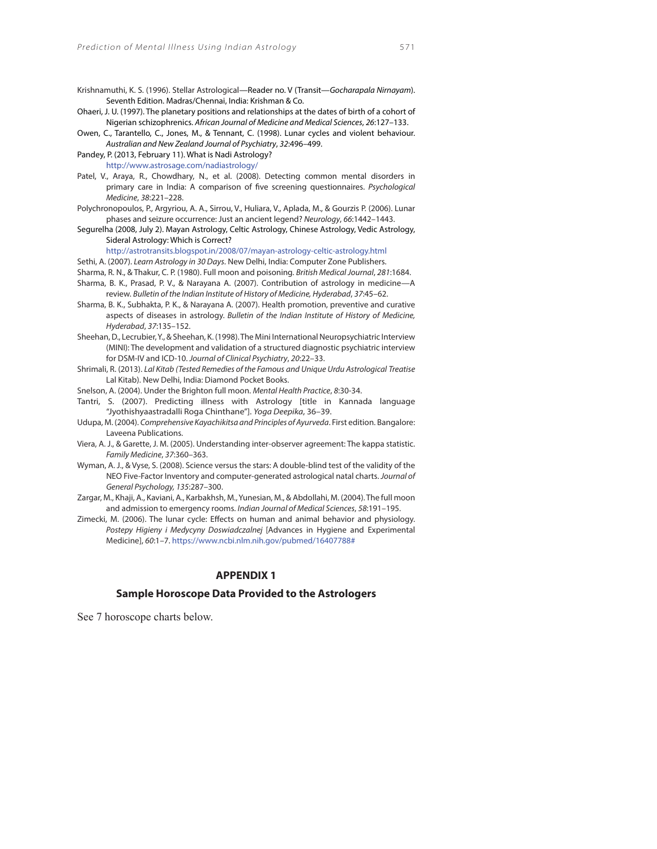- Krishnamuthi, K. S. (1996). Stellar Astrological—Reader no. V (Transit—Gocharapala Nirnayam). Seventh Edition. Madras/Chennai, India: Krishman & Co.
- Ohaeri, J. U. (1997). The planetary positions and relationships at the dates of birth of a cohort of Nigerian schizophrenics. African Journal of Medicine and Medical Sciences, 26:127–133.
- Owen, C., Tarantello, C., Jones, M., & Tennant, C. (1998). Lunar cycles and violent behaviour. Australian and New Zealand Journal of Psychiatry, 32:496–499.
- Pandey, P. (2013, February 11). What is Nadi Astrology?

http://www.astrosage.com/nadiastrology/

- Patel, V., Araya, R., Chowdhary, N., et al. (2008). Detecting common mental disorders in primary care in India: A comparison of five screening questionnaires. Psychological Medicine, 38:221–228.
- Polychronopoulos, P., Argyriou, A. A., Sirrou, V., Huliara, V., Aplada, M., & Gourzis P. (2006). Lunar phases and seizure occurrence: Just an ancient legend? Neurology, 66:1442–1443.
- Segurelha (2008, July 2). Mayan Astrology, Celtic Astrology, Chinese Astrology, Vedic Astrology, Sideral Astrology: Which is Correct?

http://astrotransits.blogspot.in/2008/07/mayan-astrology-celtic-astrology.html

Sethi, A. (2007). Learn Astrology in 30 Days. New Delhi, India: Computer Zone Publishers.

- Sharma, R. N., & Thakur, C. P. (1980). Full moon and poisoning. British Medical Journal, 281:1684.
- Sharma, B. K., Prasad, P. V., & Narayana A. (2007). Contribution of astrology in medicine—A review. Bulletin of the Indian Institute of History of Medicine, Hyderabad, 37:45–62.
- Sharma, B. K., Subhakta, P. K., & Narayana A. (2007). Health promotion, preventive and curative aspects of diseases in astrology. Bulletin of the Indian Institute of History of Medicine, Hyderabad, 37:135–152.
- Sheehan, D., Lecrubier, Y., & Sheehan, K. (1998). The Mini International Neuropsychiatric Interview (MINI): The development and validation of a structured diagnostic psychiatric interview for DSM-IV and ICD-10. Journal of Clinical Psychiatry, 20:22–33.
- Shrimali, R. (2013). Lal Kitab (Tested Remedies of the Famous and Unique Urdu Astrological Treatise Lal Kitab). New Delhi, India: Diamond Pocket Books.

Snelson, A. (2004). Under the Brighton full moon. Mental Health Practice, 8:30-34.

- Tantri, S. (2007). Predicting illness with Astrology [title in Kannada language "Jyothishyaastradalli Roga Chinthane"]. Yoga Deepika, 36–39.
- Udupa, M. (2004). Comprehensive Kayachikitsa and Principles of Ayurveda. First edition. Bangalore: Laveena Publications.
- Viera, A. J., & Garette, J. M. (2005). Understanding inter-observer agreement: The kappa statistic. Family Medicine, 37:360–363.
- Wyman, A. J., & Vyse, S. (2008). Science versus the stars: A double-blind test of the validity of the NEO Five-Factor Inventory and computer-generated astrological natal charts. Journal of General Psychology, 135:287–300.
- Zargar, M., Khaji, A., Kaviani, A., Karbakhsh, M., Yunesian, M., & Abdollahi, M. (2004). The full moon and admission to emergency rooms. Indian Journal of Medical Sciences, 58:191–195.
- Zimecki, M. (2006). The lunar cycle: Effects on human and animal behavior and physiology. Postepy Higieny i Medycyny Doswiadczalnej [Advances in Hygiene and Experimental Medicine], 60:1–7. https://www.ncbi.nlm.nih.gov/pubmed/16407788#

#### **APPENDIX 1**

#### **Sample Horoscope Data Provided to the Astrologers**

See 7 horoscope charts below.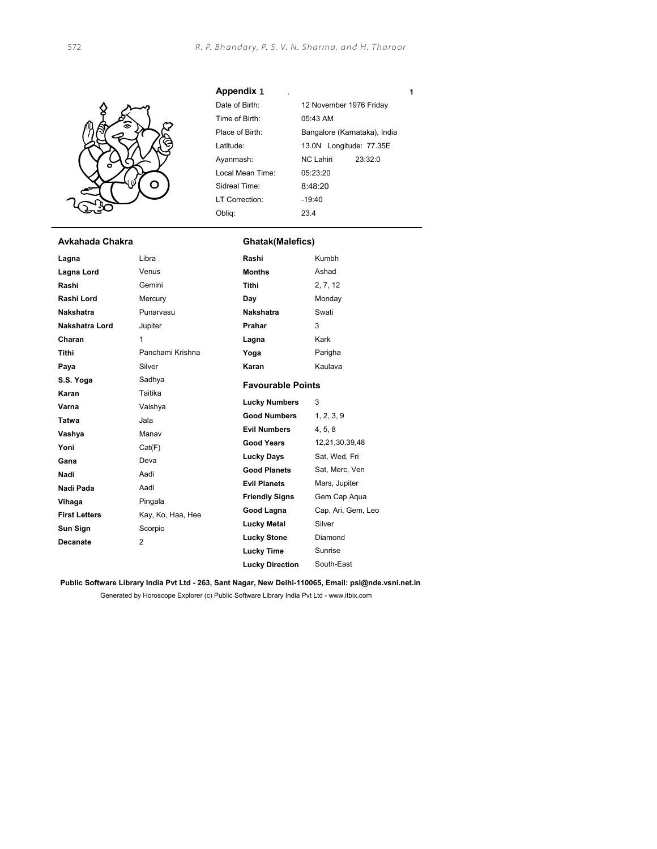**1**



#### 23.4 -19:40 8:48:20 05:23:20 NC Lahiri 23:32:0 13.0N Longitude: 77.35E 05:43 AM 12 November 1976 Friday Latitude: **Appendix** 1 Date of Birth: Time of Birth: Place of Birth: Bangalore (Karnataka), India Ayanmash: Obliq: Sidreal Time: LT Correction: Local Mean Time:

| Avkahada Chakra       |                   | <b>Ghatak(Malefics)</b>  |                    |  |  |
|-----------------------|-------------------|--------------------------|--------------------|--|--|
| Lagna                 | Libra             | Rashi                    | Kumbh              |  |  |
| Lagna Lord            | Venus             | <b>Months</b>            | Ashad              |  |  |
| Rashi                 | Gemini            | <b>Tithi</b>             | 2, 7, 12           |  |  |
| Rashi Lord            | Mercury           | Day                      | Monday             |  |  |
| <b>Nakshatra</b>      | Punarvasu         | <b>Nakshatra</b>         | Swati              |  |  |
| <b>Nakshatra Lord</b> | Jupiter           | Prahar                   | 3                  |  |  |
| Charan                | 1                 | Lagna                    | Kark               |  |  |
| Tithi                 | Panchami Krishna  | Yoga                     | Parigha            |  |  |
| Paya                  | Silver            | Karan                    | Kaulava            |  |  |
| S.S. Yoga             | Sadhya            | <b>Favourable Points</b> |                    |  |  |
| Karan                 | Taitika           |                          |                    |  |  |
| Varna                 | Vaishya           | <b>Lucky Numbers</b>     | 3                  |  |  |
| Tatwa                 | Jala              | <b>Good Numbers</b>      | 1, 2, 3, 9         |  |  |
| Vashya                | Manav             | <b>Evil Numbers</b>      | 4, 5, 8            |  |  |
| Yoni                  | Cat(F)            | <b>Good Years</b>        | 12,21,30,39,48     |  |  |
| Gana                  | Deva              | <b>Lucky Days</b>        | Sat, Wed, Fri      |  |  |
| Nadi                  | Aadi              | <b>Good Planets</b>      | Sat, Merc, Ven     |  |  |
| Nadi Pada             | Aadi              | <b>Evil Planets</b>      | Mars, Jupiter      |  |  |
| Vihaga                | Pingala           | <b>Friendly Signs</b>    | Gem Cap Aqua       |  |  |
| <b>First Letters</b>  | Kay, Ko, Haa, Hee | Good Lagna               | Cap, Ari, Gem, Leo |  |  |
| Sun Sign              | Scorpio           | <b>Lucky Metal</b>       | Silver             |  |  |
| <b>Decanate</b>       | $\overline{2}$    | <b>Lucky Stone</b>       | Diamond            |  |  |
|                       |                   | <b>Lucky Time</b>        | Sunrise            |  |  |
|                       |                   | <b>Lucky Direction</b>   | South-East         |  |  |

**Public Software Library India Pvt Ltd - 263, Sant Nagar, New Delhi-110065, Email: psl@nde.vsnl.net.in**

Generated by Horoscope Explorer (c) Public Software Library India Pvt Ltd - www.itbix.com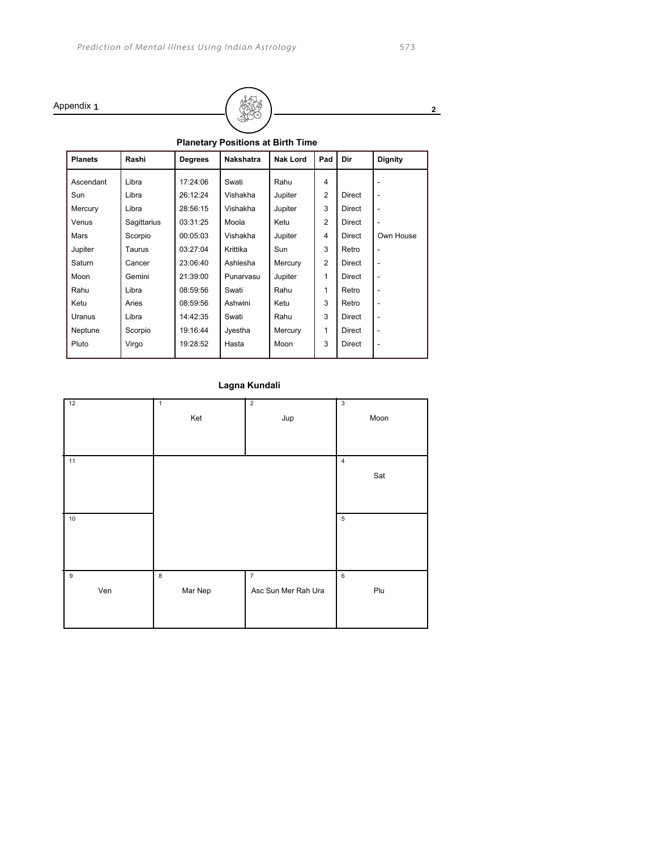|            | k٦              |  |
|------------|-----------------|--|
| Appendix 1 | <b>CONTRACT</b> |  |
|            | J C 39          |  |

| <b>Planetary Positions at Birth Time</b> |             |                |                  |                 |                |               |                |  |  |
|------------------------------------------|-------------|----------------|------------------|-----------------|----------------|---------------|----------------|--|--|
| <b>Planets</b>                           | Rashi       | <b>Degrees</b> | <b>Nakshatra</b> | <b>Nak Lord</b> | Pad            | Dir           | <b>Dignity</b> |  |  |
| Ascendant                                | Libra       | 17:24:06       | Swati            | Rahu            | 4              |               |                |  |  |
| Sun                                      | Libra       | 26:12:24       | Vishakha         | Jupiter         | $\overline{2}$ | <b>Direct</b> | ۰              |  |  |
| Mercury                                  | Libra       | 28:56:15       | Vishakha         | Jupiter         | 3              | Direct        |                |  |  |
| Venus                                    | Sagittarius | 03:31:25       | Moola            | Ketu            | $\overline{2}$ | Direct        |                |  |  |
| Mars                                     | Scorpio     | 00:05:03       | Vishakha         | Jupiter         | 4              | Direct        | Own House      |  |  |
| Jupiter                                  | Taurus      | 03:27:04       | Krittika         | Sun             | 3              | Retro         |                |  |  |
| Saturn                                   | Cancer      | 23:06:40       | Ashlesha         | Mercury         | 2              | Direct        |                |  |  |
| Moon                                     | Gemini      | 21:39:00       | Punarvasu        | Jupiter         | 1              | Direct        |                |  |  |
| Rahu                                     | Libra       | 08:59:56       | Swati            | Rahu            | 1              | Retro         |                |  |  |
| Ketu                                     | Aries       | 08:59:56       | Ashwini          | Ketu            | 3              | Retro         |                |  |  |
| Uranus                                   | Libra       | 14:42:35       | Swati            | Rahu            | 3              | Direct        |                |  |  |
| Neptune                                  | Scorpio     | 19:16:44       | Jyestha          | Mercury         | 1              | Direct        |                |  |  |
| Pluto                                    | Virgo       | 19:28:52       | Hasta            | Moon            | 3              | <b>Direct</b> | ۰              |  |  |
|                                          |             |                |                  |                 |                |               |                |  |  |

# **Lagna Kundali**

| 12               | 1       | $\overline{2}$      | $\overline{3}$   |
|------------------|---------|---------------------|------------------|
|                  | Ket     | Jup                 | Moon             |
| 11               |         |                     | $\pmb{4}$<br>Sat |
| $10\,$           |         |                     | $\sqrt{5}$       |
| $\boldsymbol{9}$ | 8       | $\bf 7$             | $\boldsymbol{6}$ |
| Ven              | Mar Nep | Asc Sun Mer Rah Ura | Plu              |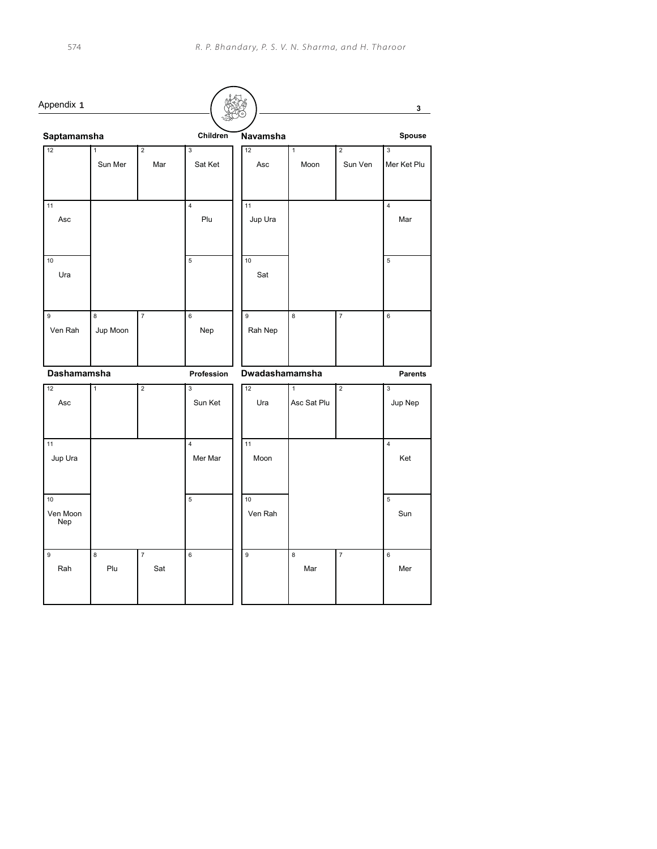|                |                     |                         |                           |                                  |                                                   | 3                       |
|----------------|---------------------|-------------------------|---------------------------|----------------------------------|---------------------------------------------------|-------------------------|
| Saptamamsha    |                     | Children                |                           |                                  |                                                   | Spouse                  |
| 1              | $\overline{2}$      | 3                       | 12                        | $\mathbf{1}$                     | $\overline{2}$                                    | $\mathbf{3}$            |
|                |                     |                         |                           |                                  |                                                   | Mer Ket Plu             |
|                |                     | $\overline{4}$          | 11                        |                                  |                                                   | $\overline{4}$          |
|                |                     |                         |                           |                                  |                                                   | Mar                     |
|                |                     | $\overline{5}$          | 10                        |                                  |                                                   | $\overline{5}$          |
|                |                     |                         | Sat                       |                                  |                                                   |                         |
| 8              | $\overline{7}$      | 6                       | 9                         | 8                                | $\overline{7}$                                    | 6                       |
|                |                     | Nep                     |                           |                                  |                                                   |                         |
| Dashamamsha    |                     | Profession              |                           |                                  |                                                   | <b>Parents</b>          |
| $\overline{1}$ | $\overline{2}$      | $\overline{3}$          | 12                        | $\overline{1}$                   | $\overline{2}$                                    | $\overline{3}$          |
|                |                     |                         |                           |                                  |                                                   | Jup Nep                 |
|                |                     | $\overline{\mathbf{4}}$ | 11                        |                                  |                                                   | $\overline{\mathbf{4}}$ |
|                |                     | Mer Mar                 | Moon                      |                                  |                                                   | Ket                     |
|                |                     | $\overline{5}$          | 10                        |                                  |                                                   | $\overline{5}$          |
|                |                     |                         | Ven Rah                   |                                  |                                                   | Sun                     |
| 8              | $\overline{7}$      | $6\overline{6}$         | $\overline{9}$            | 8                                | $\overline{7}$                                    | $6\phantom{a}$          |
| Plu            | Sat                 |                         |                           | Mar                              |                                                   | Mer                     |
|                | Sun Mer<br>Jup Moon | Mar                     | Sat Ket<br>Plu<br>Sun Ket | Asc<br>Jup Ura<br>Rah Nep<br>Ura | Navamsha<br>Moon<br>Dwadashamamsha<br>Asc Sat Plu | Sun Ven                 |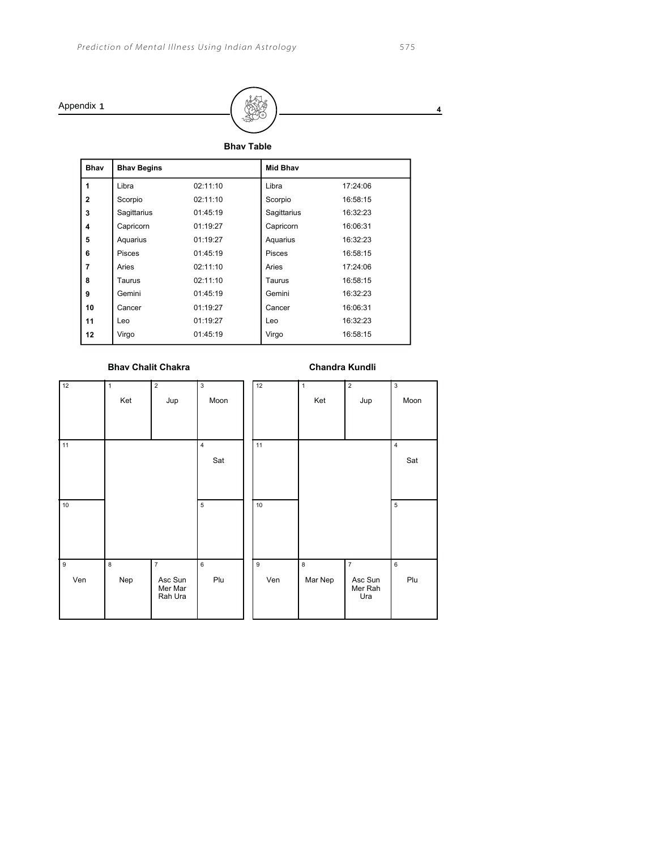

**Bhav Table**

| <b>Bhav</b>  | <b>Bhav Begins</b> |          | <b>Mid Bhav</b> |          |
|--------------|--------------------|----------|-----------------|----------|
| 1            | Libra              | 02:11:10 | Libra           | 17:24:06 |
| $\mathbf{2}$ | Scorpio            | 02:11:10 | Scorpio         | 16:58:15 |
| 3            | Sagittarius        | 01:45:19 | Sagittarius     | 16:32:23 |
| 4            | Capricorn          | 01:19:27 | Capricorn       | 16:06:31 |
| 5            | Aquarius           | 01:19:27 | Aquarius        | 16:32:23 |
| 6            | <b>Pisces</b>      | 01:45:19 | <b>Pisces</b>   | 16:58:15 |
| 7            | Aries              | 02:11:10 | Aries           | 17:24:06 |
| 8            | Taurus             | 02:11:10 | Taurus          | 16:58:15 |
| 9            | Gemini             | 01:45:19 | Gemini          | 16:32:23 |
| 10           | Cancer             | 01:19:27 | Cancer          | 16:06:31 |
| 11           | Leo                | 01:19:27 | Leo             | 16:32:23 |
| 12           | Virgo              | 01:45:19 | Virgo           | 16:58:15 |

## **Bhav Chalit Chakra**

**Chandra Kundli**

| 12                      | 1<br>Ket      | $\overline{2}$<br>Jup                           | 3<br>Moon         | 12                      | $\mathbf{1}$<br>Ket | $\overline{2}$<br>Jup                       | $\mathbf{3}$<br>Moon  |
|-------------------------|---------------|-------------------------------------------------|-------------------|-------------------------|---------------------|---------------------------------------------|-----------------------|
|                         |               |                                                 |                   |                         |                     |                                             |                       |
| 11                      |               |                                                 | $\sqrt{4}$<br>Sat | 11                      |                     |                                             | $\overline{4}$<br>Sat |
| 10                      |               |                                                 | $\sqrt{5}$        | $10$                    |                     |                                             | $\overline{5}$        |
| $\boldsymbol{9}$<br>Ven | $\bf8$<br>Nep | $\overline{7}$<br>Asc Sun<br>Mer Mar<br>Rah Ura | $\,6\,$<br>Plu    | $\boldsymbol{9}$<br>Ven | 8<br>Mar Nep        | $\overline{7}$<br>Asc Sun<br>Mer Rah<br>Ura | $\,6\,$<br>Plu        |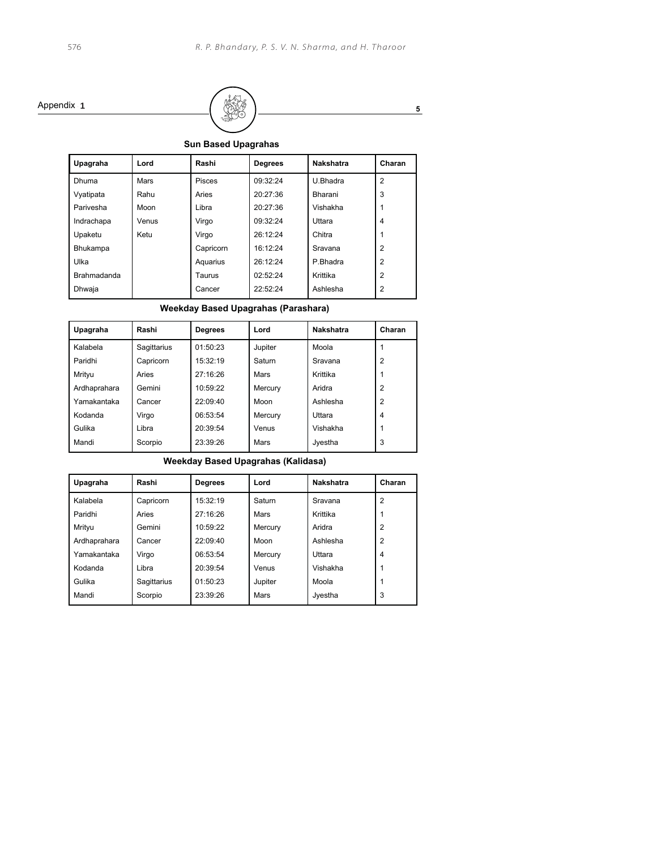

# **Sun Based Upagrahas**

| Upagraha           | Lord  | Rashi         | <b>Degrees</b> | <b>Nakshatra</b> | Charan         |
|--------------------|-------|---------------|----------------|------------------|----------------|
| Dhuma              | Mars  | <b>Pisces</b> | 09:32:24       | U.Bhadra         | $\overline{2}$ |
| Vyatipata          | Rahu  | Aries         | 20:27:36       | Bharani          | 3              |
| Parivesha          | Moon  | Libra         | 20:27:36       | Vishakha         |                |
| Indrachapa         | Venus | Virgo         | 09:32:24       | Uttara           | $\overline{4}$ |
| Upaketu            | Ketu  | Virgo         | 26:12:24       | Chitra           |                |
| <b>Bhukampa</b>    |       | Capricorn     | 16:12:24       | Sravana          | $\overline{2}$ |
| Ulka               |       | Aquarius      | 26:12:24       | P.Bhadra         | $\overline{2}$ |
| <b>Brahmadanda</b> |       | Taurus        | 02:52:24       | Krittika         | $\overline{2}$ |
| Dhwaja             |       | Cancer        | 22:52:24       | Ashlesha         | $\overline{2}$ |

**Weekday Based Upagrahas (Parashara)**

| Upagraha     | Rashi       | <b>Degrees</b> | Lord    | <b>Nakshatra</b> | Charan         |
|--------------|-------------|----------------|---------|------------------|----------------|
| Kalabela     | Sagittarius | 01:50:23       | Jupiter | Moola            |                |
| Paridhi      | Capricorn   | 15:32:19       | Saturn  | Sravana          | 2              |
| Mrityu       | Aries       | 27:16:26       | Mars    | Krittika         |                |
| Ardhaprahara | Gemini      | 10:59:22       | Mercury | Aridra           | $\overline{2}$ |
| Yamakantaka  | Cancer      | 22:09:40       | Moon    | Ashlesha         | 2              |
| Kodanda      | Virgo       | 06:53:54       | Mercury | Uttara           | 4              |
| Gulika       | Libra       | 20:39:54       | Venus   | Vishakha         |                |
| Mandi        | Scorpio     | 23:39:26       | Mars    | Jyestha          | 3              |

# **Weekday Based Upagrahas (Kalidasa)**

| Upagraha     | Rashi       | <b>Degrees</b> | Lord    | <b>Nakshatra</b> | Charan         |
|--------------|-------------|----------------|---------|------------------|----------------|
| Kalabela     | Capricorn   | 15:32:19       | Saturn  | Sravana          | $\overline{2}$ |
| Paridhi      | Aries       | 27:16:26       | Mars    | Krittika         |                |
| Mritvu       | Gemini      | 10:59:22       | Mercury | Aridra           | $\overline{2}$ |
| Ardhaprahara | Cancer      | 22:09:40       | Moon    | Ashlesha         | $\overline{2}$ |
| Yamakantaka  | Virgo       | 06:53:54       | Mercury | Uttara           | 4              |
| Kodanda      | Libra       | 20:39:54       | Venus   | Vishakha         |                |
| Gulika       | Sagittarius | 01:50:23       | Jupiter | Moola            |                |
| Mandi        | Scorpio     | 23:39:26       | Mars    | Jyestha          | 3              |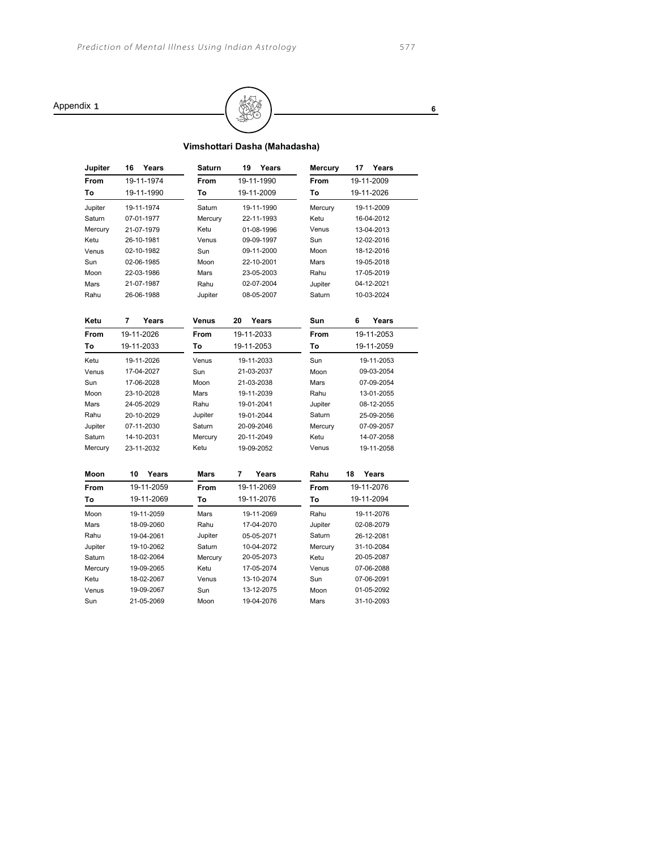# Appendix 1



# **Vimshottari Dasha (Mahadasha)**

| Jupiter | 16<br>Years | <b>Saturn</b> | 19<br>Years | Mercury | 17<br>Years |
|---------|-------------|---------------|-------------|---------|-------------|
| From    | 19-11-1974  | From          | 19-11-1990  | From    | 19-11-2009  |
| То      | 19-11-1990  | Τo            | 19-11-2009  | Τo      | 19-11-2026  |
| Jupiter | 19-11-1974  | Saturn        | 19-11-1990  | Mercury | 19-11-2009  |
| Saturn  | 07-01-1977  | Mercury       | 22-11-1993  | Ketu    | 16-04-2012  |
| Mercury | 21-07-1979  | Ketu          | 01-08-1996  | Venus   | 13-04-2013  |
| Ketu    | 26-10-1981  | Venus         | 09-09-1997  | Sun     | 12-02-2016  |
| Venus   | 02-10-1982  | Sun           | 09-11-2000  | Moon    | 18-12-2016  |
| Sun     | 02-06-1985  | Moon          | 22-10-2001  | Mars    | 19-05-2018  |
| Moon    | 22-03-1986  | Mars          | 23-05-2003  | Rahu    | 17-05-2019  |
| Mars    | 21-07-1987  | Rahu          | 02-07-2004  | Jupiter | 04-12-2021  |
| Rahu    | 26-06-1988  | Jupiter       | 08-05-2007  | Saturn  | 10-03-2024  |
| Ketu    | 7<br>Years  | Venus         | 20<br>Years | Sun     | 6<br>Years  |
| From    | 19-11-2026  | From          | 19-11-2033  | From    | 19-11-2053  |
| To      | 19-11-2033  | To            | 19-11-2053  | To      | 19-11-2059  |
| Ketu    | 19-11-2026  | Venus         | 19-11-2033  | Sun     | 19-11-2053  |
| Venus   | 17-04-2027  | Sun           | 21-03-2037  | Moon    | 09-03-2054  |
| Sun     | 17-06-2028  | Moon          | 21-03-2038  | Mars    | 07-09-2054  |
| Moon    | 23-10-2028  | Mars          | 19-11-2039  | Rahu    | 13-01-2055  |
| Mars    | 24-05-2029  | Rahu          | 19-01-2041  | Jupiter | 08-12-2055  |
| Rahu    | 20-10-2029  | Jupiter       | 19-01-2044  | Saturn  | 25-09-2056  |
| Jupiter | 07-11-2030  | Saturn        | 20-09-2046  | Mercury | 07-09-2057  |
| Saturn  | 14-10-2031  | Mercury       | 20-11-2049  | Ketu    | 14-07-2058  |
| Mercury | 23-11-2032  | Ketu          | 19-09-2052  | Venus   | 19-11-2058  |
| Moon    | 10<br>Years | <b>Mars</b>   | 7<br>Years  | Rahu    | 18<br>Years |
| From    | 19-11-2059  | From          | 19-11-2069  | From    | 19-11-2076  |
| То      | 19-11-2069  | To            | 19-11-2076  | То      | 19-11-2094  |
| Moon    | 19-11-2059  | Mars          | 19-11-2069  | Rahu    | 19-11-2076  |
| Mars    | 18-09-2060  | Rahu          | 17-04-2070  | Jupiter | 02-08-2079  |
| Rahu    | 19-04-2061  | Jupiter       | 05-05-2071  | Saturn  | 26-12-2081  |
| Jupiter | 19-10-2062  | Saturn        | 10-04-2072  | Mercury | 31-10-2084  |
| Saturn  | 18-02-2064  | Mercury       | 20-05-2073  | Ketu    | 20-05-2087  |
| Mercury | 19-09-2065  | Ketu          | 17-05-2074  | Venus   | 07-06-2088  |
| Ketu    | 18-02-2067  | Venus         | 13-10-2074  | Sun     | 07-06-2091  |
| Venus   | 19-09-2067  | Sun           | 13-12-2075  | Moon    | 01-05-2092  |
| Sun     | 21-05-2069  | Moon          | 19-04-2076  | Mars    | 31-10-2093  |